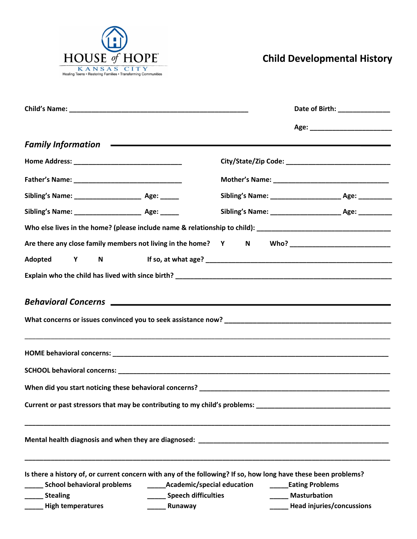

## **Child Developmental History**

|                                                                                                                                                                                                                               |                                                                                       | Date of Birth: ________________                                                  |
|-------------------------------------------------------------------------------------------------------------------------------------------------------------------------------------------------------------------------------|---------------------------------------------------------------------------------------|----------------------------------------------------------------------------------|
|                                                                                                                                                                                                                               |                                                                                       |                                                                                  |
| Family Information <b>Constant Construction</b> and Constant Construction and Constant Constant Constant Constant Const                                                                                                       |                                                                                       |                                                                                  |
|                                                                                                                                                                                                                               |                                                                                       |                                                                                  |
|                                                                                                                                                                                                                               |                                                                                       |                                                                                  |
|                                                                                                                                                                                                                               |                                                                                       | Sibling's Name: _________________________________ Age: _________________________ |
|                                                                                                                                                                                                                               |                                                                                       | Sibling's Name: __________________________________ Age: ________________________ |
| Who else lives in the home? (please include name & relationship to child): ___________________________________                                                                                                                |                                                                                       |                                                                                  |
| Are there any close family members not living in the home? Y N Who? ________________________________                                                                                                                          |                                                                                       |                                                                                  |
|                                                                                                                                                                                                                               |                                                                                       |                                                                                  |
|                                                                                                                                                                                                                               |                                                                                       |                                                                                  |
| Behavioral Concerns League and Concerns and Concerns and Concerns and Concerns and Concerns and Concerns and Concerns and Concerns and Concerns and Concerns and Concerns and Concerns and Concerns and Concerns and Concerns |                                                                                       |                                                                                  |
|                                                                                                                                                                                                                               |                                                                                       |                                                                                  |
|                                                                                                                                                                                                                               |                                                                                       |                                                                                  |
|                                                                                                                                                                                                                               |                                                                                       |                                                                                  |
| Current or past stressors that may be contributing to my child's problems: ___________________________________                                                                                                                |                                                                                       |                                                                                  |
| Mental health diagnosis and when they are diagnosed: National Community of the control of the control of the c                                                                                                                |                                                                                       |                                                                                  |
| Is there a history of, or current concern with any of the following? If so, how long have these been problems?<br>____ School behavioral problems<br>_______ Stealing<br>______ High temperatures                             | ________Academic/special education<br>Speech difficulties<br><b>Example 2</b> Runaway | <b>Eating Problems</b><br><b>Masturbation</b><br>Head injuries/concussions       |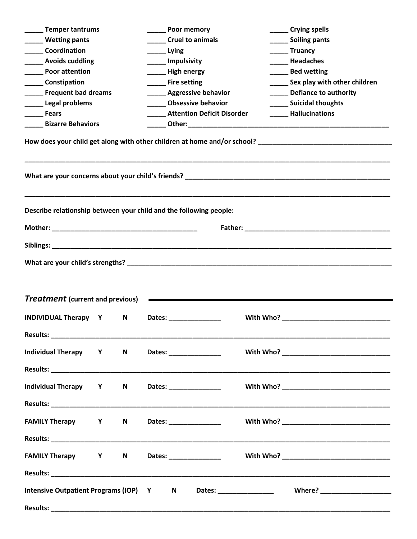| ____ Temper tantrums                                               |                                         |   |                         |                               | <b>Poor memory</b>                |                      |  | ______ Crying spells                                                                                                                                                                                                           |  |  |  |
|--------------------------------------------------------------------|-----------------------------------------|---|-------------------------|-------------------------------|-----------------------------------|----------------------|--|--------------------------------------------------------------------------------------------------------------------------------------------------------------------------------------------------------------------------------|--|--|--|
| Wetting pants                                                      |                                         |   | <b>Cruel to animals</b> |                               |                                   | ______ Soiling pants |  |                                                                                                                                                                                                                                |  |  |  |
| <b>Coordination</b>                                                |                                         |   | Lying                   |                               |                                   | ______ Truancy       |  |                                                                                                                                                                                                                                |  |  |  |
| <b>Example 2 Avoids cuddling</b>                                   |                                         |   | ____ Impulsivity        |                               |                                   | Headaches            |  |                                                                                                                                                                                                                                |  |  |  |
| <b>Example 2</b> Poor attention                                    |                                         |   |                         | High energy                   |                                   |                      |  | Bed wetting                                                                                                                                                                                                                    |  |  |  |
| _______ Constipation                                               |                                         |   |                         | <b>Example 1</b> Fire setting |                                   |                      |  | ________ Sex play with other children                                                                                                                                                                                          |  |  |  |
| <b>Example 1 Frequent bad dreams</b>                               |                                         |   |                         |                               | ______ Aggressive behavior        |                      |  | Defiance to authority                                                                                                                                                                                                          |  |  |  |
| Legal problems                                                     |                                         |   |                         |                               | <b>Obsessive behavior</b>         |                      |  | ____ Suicidal thoughts                                                                                                                                                                                                         |  |  |  |
| <b>Fears</b>                                                       |                                         |   |                         |                               | <b>Attention Deficit Disorder</b> |                      |  | <b>Hallucinations</b>                                                                                                                                                                                                          |  |  |  |
| <b>Bizarre Behaviors</b>                                           |                                         |   |                         |                               |                                   |                      |  |                                                                                                                                                                                                                                |  |  |  |
|                                                                    |                                         |   |                         |                               |                                   |                      |  |                                                                                                                                                                                                                                |  |  |  |
| Describe relationship between your child and the following people: |                                         |   |                         |                               |                                   |                      |  |                                                                                                                                                                                                                                |  |  |  |
|                                                                    |                                         |   |                         |                               |                                   |                      |  |                                                                                                                                                                                                                                |  |  |  |
|                                                                    |                                         |   |                         |                               |                                   |                      |  |                                                                                                                                                                                                                                |  |  |  |
| <b>Treatment</b> (current and previous)                            |                                         |   |                         |                               |                                   |                      |  |                                                                                                                                                                                                                                |  |  |  |
| <b>INDIVIDUAL Therapy Y</b>                                        |                                         | N |                         |                               |                                   |                      |  | With Who? Note that the contract of the contract of the contract of the contract of the contract of the contract of the contract of the contract of the contract of the contract of the contract of the contract of the contra |  |  |  |
| Individual Therapy Y N                                             |                                         |   |                         |                               | Dates: _________________          |                      |  |                                                                                                                                                                                                                                |  |  |  |
| Individual Therapy Y N                                             |                                         |   |                         |                               |                                   |                      |  |                                                                                                                                                                                                                                |  |  |  |
| FAMILY Therapy Y N                                                 |                                         |   |                         |                               |                                   |                      |  |                                                                                                                                                                                                                                |  |  |  |
|                                                                    |                                         |   |                         |                               |                                   |                      |  |                                                                                                                                                                                                                                |  |  |  |
| FAMILY Therapy Y N                                                 |                                         |   |                         |                               | Dates: ________________           |                      |  |                                                                                                                                                                                                                                |  |  |  |
|                                                                    |                                         |   |                         |                               |                                   |                      |  |                                                                                                                                                                                                                                |  |  |  |
|                                                                    | Intensive Outpatient Programs (IOP) Y N |   |                         |                               |                                   |                      |  |                                                                                                                                                                                                                                |  |  |  |
|                                                                    |                                         |   |                         |                               |                                   |                      |  |                                                                                                                                                                                                                                |  |  |  |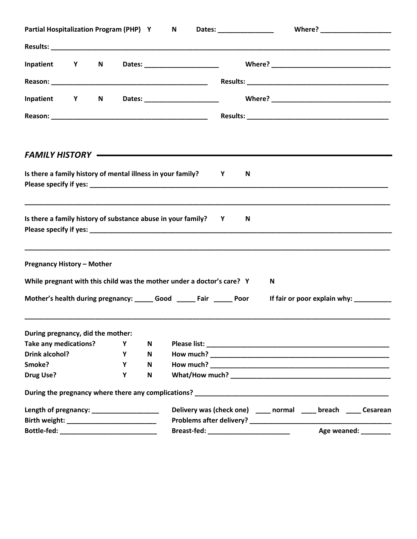| Partial Hospitalization Program (PHP) Y                                |   |   |                           | N |                                        |                   |   |   |                                                                                                                                                                      |  |
|------------------------------------------------------------------------|---|---|---------------------------|---|----------------------------------------|-------------------|---|---|----------------------------------------------------------------------------------------------------------------------------------------------------------------------|--|
|                                                                        |   |   |                           |   |                                        |                   |   |   |                                                                                                                                                                      |  |
| Inpatient Y                                                            | N |   |                           |   | Dates: ______________________          |                   |   |   |                                                                                                                                                                      |  |
|                                                                        |   |   |                           |   |                                        |                   |   |   |                                                                                                                                                                      |  |
| Inpatient Y                                                            | N |   |                           |   |                                        |                   |   |   |                                                                                                                                                                      |  |
|                                                                        |   |   |                           |   |                                        |                   |   |   |                                                                                                                                                                      |  |
| FAMILY HISTORY —————————————————————————————                           |   |   |                           |   |                                        |                   |   |   |                                                                                                                                                                      |  |
| Is there a family history of mental illness in your family?            |   |   |                           |   |                                        | <b>Example 19</b> | N |   |                                                                                                                                                                      |  |
| Is there a family history of substance abuse in your family? Y         |   |   |                           |   |                                        |                   | N |   |                                                                                                                                                                      |  |
| <b>Pregnancy History - Mother</b>                                      |   |   |                           |   |                                        |                   |   |   |                                                                                                                                                                      |  |
| While pregnant with this child was the mother under a doctor's care? Y |   |   |                           |   |                                        |                   |   | N |                                                                                                                                                                      |  |
| Mother's health during pregnancy: ______ Good ______ Fair ______ Poor  |   |   |                           |   |                                        |                   |   |   | If fair or poor explain why:                                                                                                                                         |  |
| During pregnancy, did the mother:                                      |   |   |                           |   |                                        |                   |   |   |                                                                                                                                                                      |  |
| <b>Take any medications?</b>                                           |   | Υ | Ν                         |   |                                        |                   |   |   |                                                                                                                                                                      |  |
| <b>Drink alcohol?</b>                                                  |   | Υ | N                         |   |                                        |                   |   |   |                                                                                                                                                                      |  |
| Smoke?                                                                 |   | Y | N                         |   |                                        |                   |   |   |                                                                                                                                                                      |  |
| <b>Drug Use?</b>                                                       |   | Υ | $\boldsymbol{\mathsf{N}}$ |   |                                        |                   |   |   |                                                                                                                                                                      |  |
|                                                                        |   |   |                           |   |                                        |                   |   |   | During the pregnancy where there any complications?<br>The manufacture and the manufacture and the manufacture and the manufacture and the manufacture and the manuf |  |
| Length of pregnancy: _____________________                             |   |   |                           |   |                                        |                   |   |   | Delivery was (check one) ______ normal ______ breach ______ Cesarean                                                                                                 |  |
|                                                                        |   |   |                           |   |                                        |                   |   |   |                                                                                                                                                                      |  |
| Bottle-fed: ________________________________                           |   |   |                           |   | Breast-fed: __________________________ |                   |   |   | Age weaned: ________                                                                                                                                                 |  |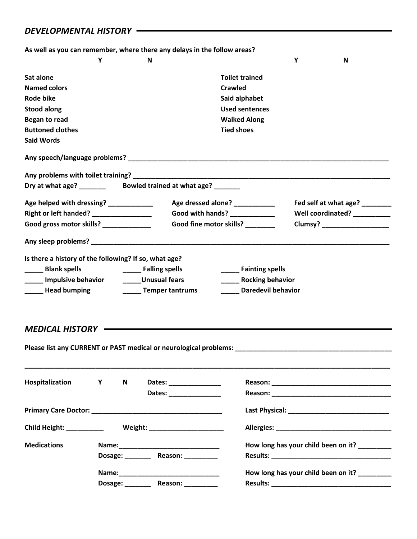## *DEVELOPMENTAL HISTORY*

|                     |   | As well as you can remember, where there any delays in the follow areas? |   |
|---------------------|---|--------------------------------------------------------------------------|---|
|                     | N |                                                                          | N |
| Sat alone           |   | <b>Toilet trained</b>                                                    |   |
| <b>Named colors</b> |   | Crawled                                                                  |   |
| Rode bike           |   | Said alphabet                                                            |   |

**Began to read Walked Along Buttoned clothes Tied shoes Said Words Any speech/language problems? \_\_\_\_\_\_\_\_\_\_\_\_\_\_\_\_\_\_\_\_\_\_\_\_\_\_\_\_\_\_\_\_\_\_\_\_\_\_\_\_\_\_\_\_\_\_\_\_\_\_\_\_\_\_\_\_\_\_\_\_\_\_\_\_\_\_\_\_\_\_ Any problems with toilet training? \_\_\_\_\_\_\_\_\_\_\_\_\_\_\_\_\_\_\_\_\_\_\_\_\_\_\_\_\_\_\_\_\_\_\_\_\_\_\_\_\_\_\_\_\_\_\_\_\_\_\_\_\_\_\_\_\_\_\_\_\_\_\_\_\_\_\_\_\_ Dry at what age? \_\_\_\_\_\_\_ Bowled trained at what age? \_\_\_\_\_\_\_ Age helped with dressing? \_\_\_\_\_\_\_\_\_\_\_\_ Age dressed alone? \_\_\_\_\_\_\_\_\_\_\_ Fed self at what age? \_\_\_\_\_\_\_\_ Right or left handed? \_\_\_\_\_\_\_\_\_\_\_\_\_\_\_\_ Good with hands? \_\_\_\_\_\_\_\_\_\_\_\_ Well coordinated? \_\_\_\_\_\_\_\_\_\_ Good gross motor skills? \_\_\_\_\_\_\_\_\_\_\_\_\_ Good fine motor skills? \_\_\_\_\_\_\_\_ Clumsy? \_\_\_\_\_\_\_\_\_\_\_\_\_\_\_\_\_\_**

**Stood along Used sentences**

| Any sleep problems?                                   |                        |                         |  |
|-------------------------------------------------------|------------------------|-------------------------|--|
| Is there a history of the following? If so, what age? |                        |                         |  |
| <b>Blank spells</b>                                   | <b>Falling spells</b>  | <b>Fainting spells</b>  |  |
| <b>Impulsive behavior</b>                             | <b>Unusual fears</b>   | <b>Rocking behavior</b> |  |
| <b>Head bumping</b>                                   | <b>Temper tantrums</b> | Daredevil behavior      |  |

*MEDICAL HISTORY*

**Please list any CURRENT or PAST medical or neurological problems: \_\_\_\_\_\_\_\_\_\_\_\_\_\_\_\_\_\_\_\_\_\_\_\_\_\_\_\_\_\_\_\_\_\_\_\_\_\_\_\_\_\_**

| Hospitalization Y        |                | N       | Dates: Note that the set of the set of the set of the set of the set of the set of the set of the set of the s |                                              |
|--------------------------|----------------|---------|----------------------------------------------------------------------------------------------------------------|----------------------------------------------|
|                          |                |         |                                                                                                                |                                              |
| Child Height: __________ |                |         |                                                                                                                |                                              |
| <b>Medications</b>       |                | Dosage: | Reason: Nearly Management                                                                                      | How long has your child been on it? ________ |
|                          | Dosage: $\_\_$ |         | Reason: Nearly                                                                                                 | How long has your child been on it?          |

**\_\_\_\_\_\_\_\_\_\_\_\_\_\_\_\_\_\_\_\_\_\_\_\_\_\_\_\_\_\_\_\_\_\_\_\_\_\_\_\_\_\_\_\_\_\_\_\_\_\_\_\_\_\_\_\_\_\_\_\_\_\_\_\_\_\_\_\_\_\_\_\_\_\_\_\_\_\_\_\_\_\_\_\_\_\_\_\_\_\_\_\_\_\_\_\_\_\_**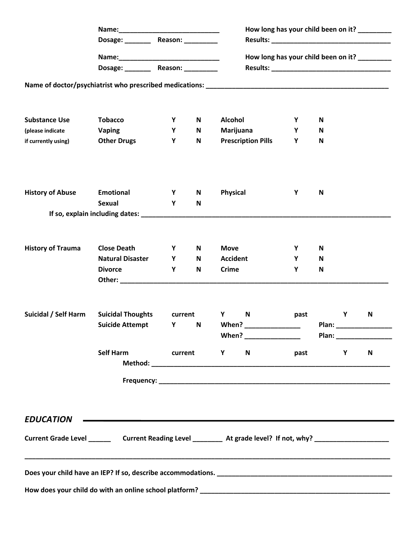|                          |                                                    |              |                                               | How long has your child been on it? ________                                                                                                                                                                                                   |        |        |   |              |  |  |
|--------------------------|----------------------------------------------------|--------------|-----------------------------------------------|------------------------------------------------------------------------------------------------------------------------------------------------------------------------------------------------------------------------------------------------|--------|--------|---|--------------|--|--|
|                          | Dosage: _________ Reason: _________                |              |                                               |                                                                                                                                                                                                                                                |        |        |   |              |  |  |
|                          |                                                    |              | How long has your child been on it? _________ |                                                                                                                                                                                                                                                |        |        |   |              |  |  |
|                          | Dosage: __________ Reason: __________              |              |                                               |                                                                                                                                                                                                                                                |        |        |   |              |  |  |
|                          |                                                    |              |                                               |                                                                                                                                                                                                                                                |        |        |   |              |  |  |
| <b>Substance Use</b>     |                                                    |              |                                               |                                                                                                                                                                                                                                                |        |        |   |              |  |  |
| (please indicate         | <b>Tobacco</b><br><b>Vaping</b>                    | Y<br>Y       | N<br>N                                        | <b>Alcohol</b><br>Marijuana                                                                                                                                                                                                                    | Y<br>Y | N<br>N |   |              |  |  |
| if currently using)      | <b>Other Drugs</b>                                 | Υ            | $\mathsf N$                                   | <b>Prescription Pills</b>                                                                                                                                                                                                                      | Y      | N      |   |              |  |  |
|                          |                                                    |              |                                               |                                                                                                                                                                                                                                                |        |        |   |              |  |  |
| <b>History of Abuse</b>  | Emotional                                          | Y            | N                                             | Physical                                                                                                                                                                                                                                       | Y      | N      |   |              |  |  |
|                          | <b>Sexual</b>                                      | Y            | N                                             |                                                                                                                                                                                                                                                |        |        |   |              |  |  |
|                          |                                                    |              |                                               |                                                                                                                                                                                                                                                |        |        |   |              |  |  |
| <b>History of Trauma</b> | <b>Close Death</b>                                 | Y            | N                                             | <b>Move</b>                                                                                                                                                                                                                                    | Υ      | N      |   |              |  |  |
|                          | <b>Natural Disaster</b>                            | Y            | N                                             | <b>Accident</b>                                                                                                                                                                                                                                | Y      | N      |   |              |  |  |
|                          | <b>Divorce</b>                                     | Y            | N                                             | <b>Crime</b><br>Other: will be a state of the state of the state of the state of the state of the state of the state of the state of the state of the state of the state of the state of the state of the state of the state of the state of t | Υ      | N      |   |              |  |  |
| Suicidal / Self Harm     | <b>Suicidal Thoughts</b><br><b>Suicide Attempt</b> | current<br>Υ | $\mathsf N$                                   | Y and the set of the set of the set of the set of the set of the set of the set of the set of the set of the set of the set of the set of the set of the set of the set of the set of the set of the set of the set of the set<br>N<br>When?   | past   | Plan:  | Υ | $\mathsf{N}$ |  |  |
|                          |                                                    |              |                                               | When? __________________                                                                                                                                                                                                                       |        |        |   |              |  |  |
| Self Harm<br>current     |                                                    |              |                                               | <b>Y</b><br>N                                                                                                                                                                                                                                  | past   |        | Υ | N            |  |  |
|                          |                                                    |              |                                               |                                                                                                                                                                                                                                                |        |        |   |              |  |  |
| <b>EDUCATION</b>         |                                                    |              |                                               | <u> 1989 - Jan Salaman Salaman (j. 1989)</u>                                                                                                                                                                                                   |        |        |   |              |  |  |
|                          |                                                    |              |                                               | Current Grade Level ____________Current Reading Level _____________ At grade level? If not, why? ____________________                                                                                                                          |        |        |   |              |  |  |
|                          |                                                    |              |                                               | Does your child have an IEP? If so, describe accommodations. Department of the series of the series of the series of                                                                                                                           |        |        |   |              |  |  |
|                          |                                                    |              |                                               |                                                                                                                                                                                                                                                |        |        |   |              |  |  |
|                          |                                                    |              |                                               |                                                                                                                                                                                                                                                |        |        |   |              |  |  |